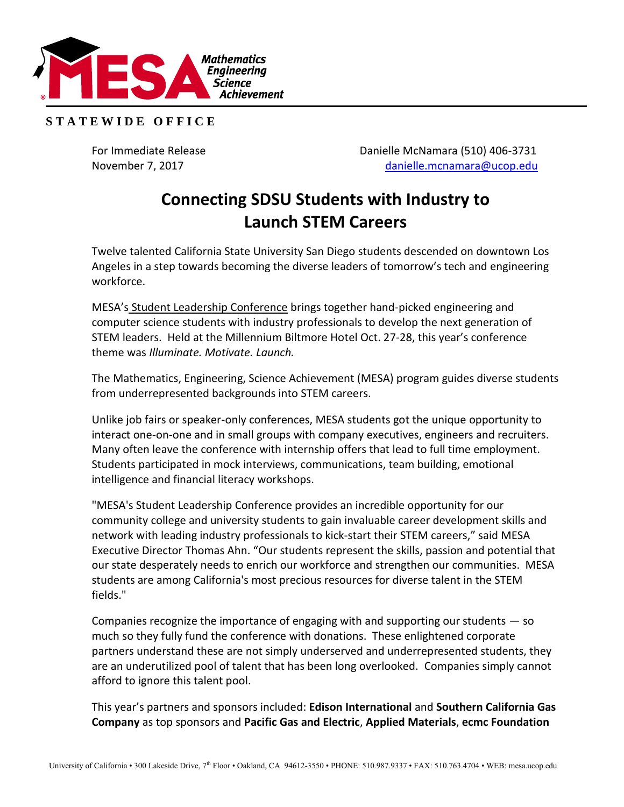

## **S T A T E W I D E O F F I C E**

For Immediate Release **Danielle McNamara** (510) 406-3731 November 7, 2017 [danielle.mcnamara@ucop.edu](mailto:danielle.mcnamara@ucop.edu)

## **Connecting SDSU Students with Industry to Launch STEM Careers**

Twelve talented California State University San Diego students descended on downtown Los Angeles in a step towards becoming the diverse leaders of tomorrow's tech and engineering workforce.

MESA's [Student Leadership Conference](https://mesa.ucop.edu/events/) brings together hand-picked engineering and computer science students with industry professionals to develop the next generation of STEM leaders. Held at the Millennium Biltmore Hotel Oct. 27-28, this year's conference theme was *Illuminate. Motivate. Launch.* 

The Mathematics, Engineering, Science Achievement (MESA) program guides diverse students from underrepresented backgrounds into STEM careers.

Unlike job fairs or speaker-only conferences, MESA students got the unique opportunity to interact one-on-one and in small groups with company executives, engineers and recruiters. Many often leave the conference with internship offers that lead to full time employment. Students participated in mock interviews, communications, team building, emotional intelligence and financial literacy workshops.

"MESA's Student Leadership Conference provides an incredible opportunity for our community college and university students to gain invaluable career development skills and network with leading industry professionals to kick-start their STEM careers," said MESA Executive Director Thomas Ahn. "Our students represent the skills, passion and potential that our state desperately needs to enrich our workforce and strengthen our communities. MESA students are among California's most precious resources for diverse talent in the STEM fields."

Companies recognize the importance of engaging with and supporting our students — so much so they fully fund the conference with donations. These enlightened corporate partners understand these are not simply underserved and underrepresented students, they are an underutilized pool of talent that has been long overlooked. Companies simply cannot afford to ignore this talent pool.

This year's partners and sponsors included: **Edison International** and **Southern California Gas Company** as top sponsors and **Pacific Gas and Electric**, **Applied Materials**, **ecmc Foundation**